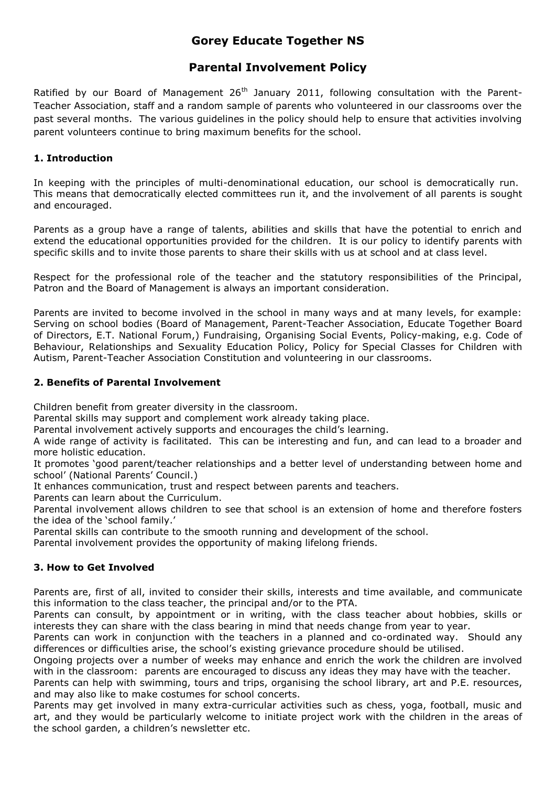# **Gorey Educate Together NS**

### **Parental Involvement Policy**

Ratified by our Board of Management  $26<sup>th</sup>$  January 2011, following consultation with the Parent-Teacher Association, staff and a random sample of parents who volunteered in our classrooms over the past several months. The various guidelines in the policy should help to ensure that activities involving parent volunteers continue to bring maximum benefits for the school.

### **1. Introduction**

In keeping with the principles of multi-denominational education, our school is democratically run. This means that democratically elected committees run it, and the involvement of all parents is sought and encouraged.

Parents as a group have a range of talents, abilities and skills that have the potential to enrich and extend the educational opportunities provided for the children. It is our policy to identify parents with specific skills and to invite those parents to share their skills with us at school and at class level.

Respect for the professional role of the teacher and the statutory responsibilities of the Principal, Patron and the Board of Management is always an important consideration.

Parents are invited to become involved in the school in many ways and at many levels, for example: Serving on school bodies (Board of Management, Parent-Teacher Association, Educate Together Board of Directors, E.T. National Forum,) Fundraising, Organising Social Events, Policy-making, e.g. Code of Behaviour, Relationships and Sexuality Education Policy, Policy for Special Classes for Children with Autism, Parent-Teacher Association Constitution and volunteering in our classrooms.

#### **2. Benefits of Parental Involvement**

Children benefit from greater diversity in the classroom.

Parental skills may support and complement work already taking place.

Parental involvement actively supports and encourages the child's learning.

A wide range of activity is facilitated. This can be interesting and fun, and can lead to a broader and more holistic education.

It promotes 'good parent/teacher relationships and a better level of understanding between home and school' (National Parents' Council.)

It enhances communication, trust and respect between parents and teachers.

Parents can learn about the Curriculum.

Parental involvement allows children to see that school is an extension of home and therefore fosters the idea of the 'school family.'

Parental skills can contribute to the smooth running and development of the school.

Parental involvement provides the opportunity of making lifelong friends.

#### **3. How to Get Involved**

Parents are, first of all, invited to consider their skills, interests and time available, and communicate this information to the class teacher, the principal and/or to the PTA.

Parents can consult, by appointment or in writing, with the class teacher about hobbies, skills or interests they can share with the class bearing in mind that needs change from year to year.

Parents can work in conjunction with the teachers in a planned and co-ordinated way. Should any differences or difficulties arise, the school's existing grievance procedure should be utilised.

Ongoing projects over a number of weeks may enhance and enrich the work the children are involved with in the classroom: parents are encouraged to discuss any ideas they may have with the teacher.

Parents can help with swimming, tours and trips, organising the school library, art and P.E. resources, and may also like to make costumes for school concerts.

Parents may get involved in many extra-curricular activities such as chess, yoga, football, music and art, and they would be particularly welcome to initiate project work with the children in the areas of the school garden, a children's newsletter etc.